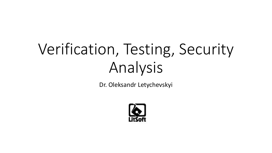# Verification, Testing, Security Analysis

Dr. Oleksandr Letychevskyi

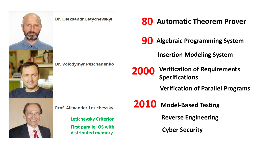

#### Dr. Oleksandr Letychevskyi

Dr. Volodymyr Peschanenko

**80 Automatic Theorem Prover**

**90 Algebraic Programming System**

**Insertion Modeling System**

**2000 Verification of Requirements Specifications**

**Verification of Parallel Programs**

**Prof. Alexander Letichevsky** 

**Letichevsky Criterion First parallel OS with distributed memory**

**2010 Model-Based Testing**

**Reverse Engineering**

**Cyber Security**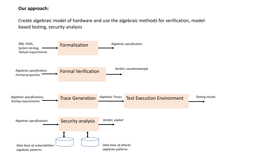#### **Our approach:**

Create algebraic model of hardware and use the algebraic methods for verification, modelbased testing, security analysis

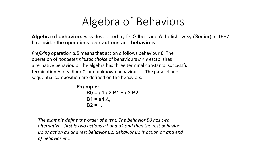## Algebra of Behaviors

**Algebra of behaviors** was developed by D. Gilbert and A. Letichevsky (Senior) in 1997 It consider the operations over **actions** and **behaviors**.

*Prefixing* operation *a.B* means that action *a* follows behaviour *B*. The operation of *nondeterministic choice* of behaviours *u + v* establishes alternative behaviours. The algebra has three terminal constants: successful termination ∆, deadlock 0, and unknown behaviour ⊥. The parallel and sequential composition are defined on the behaviors.

```
Example:
    B0 = a1.a2.B1 + a3.B2.B1 = a4.\DeltaB2 = ...
```
*The example define the order of event. The behavior B0 has two alternative - first is two actions a1 and a2 and then the rest behavior B1 or action a3 and rest behavior B2. Behavior B1 is action a4 and end of behavior etc.*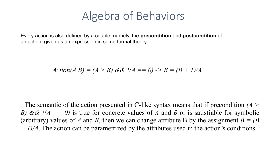### Algebra of Behaviors

Every action is also defined by a couple, namely, the **precondition** and **postcondition** of an action, given as an expression in some formal theory.

Action(A, B) = 
$$
(A > B)
$$
 &  $(A == 0) -> B = (B + 1)/A$ 

The semantic of the action presented in C-like syntax means that if precondition *(A > B)* &  $\&$  *!(A* == 0) is true for concrete values of *A* and *B* or is satisfiable for symbolic (arbitrary) values of *A* and *B*, then we can change attribute B by the assignment  $B = (B \cdot B)$ *+ 1)/A*. The action can be parametrized by the attributes used in the action's conditions.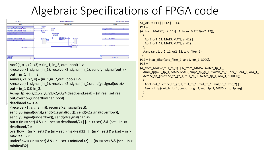### Algebraic Specifications of FPGA code

)



Aor2(s, x1, x2, x3) = (in\_1, in\_2, out : bool) 1->

<receive(x1: signal (in\_1), receive(x2: signal (in\_2), send(y : signal(out))> out = in  $1 ||$  in 2,

```
Aand(s, x1, x2, y) = (in_1,in_2,out : bool) 1->
```
 $\le$ receive(x1: signal (in 1), receive(x2: signal (in 2), send(y: signal(out))> out = in  $1 & 8 & \text{in } 2$ ,

```
Acmp fp eq(s,x1,x2,y0,y1,y2,y3,y4,deadband:real) = (in:real, set:real,
out,overflow,underflow,nan:bool)
```

```
deadband >= 0 -
```

```
<receive(x1 : signal(in)), receive(x2 : signal(set)),
```
send(y0:signal(out)),send(y1:signal(out)), send(y2:signal(overflow)), send(y3:signal(underflow)), send(y4:signal(nan))>

```
out = (in >= set) && (in – set <= deadband/2) ||(in <= set) && (set – in <= 
deadband/2);
```

```
overflow = (in >= set) && (in – set > maxReal32) || (in <= set) && (set – in > 
maxReal32);
```

```
underflow = (in >= set) && (in – set < minReal32) | | (in <= set) && (set – in <
minReal32)
```

```
S1_ALG = P11 || P12 || P13,
P11 = ((A_from_MATS2(or2_11)|| A_from_MATS2(or2_12));
  (
   Aor2(or2_11, MATS, MATS, and1) || 
   Aor2(or2_12, MATS, MATS, and1)
  );
  Aand (and 1, or2 11, or2 12, tctc filter 1)
 ),
P12 = Btctc_filter(tctc_filter_1, and1, xor_1, 3000),
P13 = ((A_from_MATS2(mul_fp_1)|| A_from_MATS2(switch_fp_1));
  Amul fp(mul fp_1, MATS, MATS, cmpc_fp_gr_1, switch_fp_1, or4_1, or4_1, or4_1);
  Acmpc fp_gr (cmpc_fp_gr_1, mul_fp_1, switch_fp_1, or4_1, 5000, 0);
  (
   Aor4(or4_1, cmpc_fp_gr_1, mul_fp_1, mul_fp_1, mul_fp_1, xor_2) ||
   Aswitch fp(switch fp_1, cmpc_fp_gr_1, mul_fp_1, MATS, cmp_fp_eq)
  )
```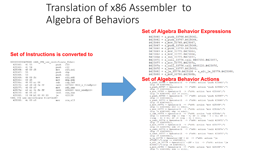### Translation of x86 Assembler to Algebra of Behaviors

#### **Set of Instructions is converted to**

|                                                       |            |  | 0000000000425060 <ssl certificate="" ctx="" file="" use="">:</ssl> |  |                   |  |          |                                     |
|-------------------------------------------------------|------------|--|--------------------------------------------------------------------|--|-------------------|--|----------|-------------------------------------|
| 425060:                                               | 41 55      |  |                                                                    |  |                   |  | push     | r13                                 |
| 425062:                                               | 41 54      |  |                                                                    |  |                   |  | push r12 |                                     |
| 425064:                                               | 49 89 f5   |  |                                                                    |  |                   |  | mov      | r13, rsi                            |
| 425067:                                               | 55         |  |                                                                    |  |                   |  | push     | rbp                                 |
| 425068:                                               | 53         |  |                                                                    |  |                   |  | push     | rbx                                 |
| 425069:                                               | 49 89 fc   |  |                                                                    |  |                   |  | mov      | r12, rdi                            |
| 42506c: 89 d5                                         |            |  |                                                                    |  |                   |  | mov      | ebp, edx                            |
| 42506e: 48 83 ec 08                                   |            |  |                                                                    |  |                   |  | sub      | rsp, 0x8                            |
| 425072: e8 d9 24 fe ff                                |            |  |                                                                    |  |                   |  | call     | 407550 <bio file@plt="" s=""></bio> |
| 425077:                                               | 48 89 c7   |  |                                                                    |  |                   |  | mov      | rdi, rax                            |
| 42507a:                                               |            |  | e8 a1 31 fe ff                                                     |  |                   |  | call     | 408220 <bio new@plt=""></bio>       |
| 42507f:                                               | 48, 85, c0 |  |                                                                    |  |                   |  | test     | rax, rax                            |
| 425082:                                               |            |  |                                                                    |  | 0f 84 b0 00 00 00 |  | ie       | 425138                              |
| <ssl certificate="" ctx="" file+0xd8="" use=""></ssl> |            |  |                                                                    |  |                   |  |          |                                     |
| 425088:                                               | 4c 89 e9   |  |                                                                    |  |                   |  | mov      | rcx, r13                            |



#### **Set of Algebra Behavior Expressions**

 $B425060 = a$  push 33766.B425062,  $B425062 = a push 33767.B425064,$  $B425064 = a$  mov 33768.B425067,  $B425067 = a push 33769.B425068,$ B425068 = a push 33770.B425069,  $B425069 = a$  mov 33771.B42506c, B42506c = a mov 33772.B42506e, B42506e = a sub 33773.B425072, B425072 = a call 33774.call B407550.B425077,  $B425077 = a$  mov 33775.B42507a, B42507a = a call 33776.call B408220.B42507f,  $B42507f = a test 33777.B425082,$ B425082 = a je 33778.B425138 + a alt je 33779.B425088,  $B425088 = a$  mov 33780.B42508b,

### **Set of Algebra Behavior Actions**<br>a push 33766 = Operator(1 -> ("x86: action 'push 425060';")

 $(rip := 4345954)$ , a push 33767 = Operator(1 -> ("x86: action 'push 425062';")  $(rip := 4345956)$ , a mov 33768 = Operator (1 -> ("x86: action 'mov 425064';")  $(rip := 4345959; r13 := rsi)$ , a push 33769 = Operator  $(1 - >$  ("x86: action 'push 425067';")  $(rip := 4345960)$ , a push 33770 = Operator  $(1 - >$  ("x86: action 'push 425068';")  $(rip := 4345961)$ , a mov 33771 = Operator (1 -> ("x86: action 'mov 425069';")  $(rip := 4345964; r12 := rdi)),$ a mov 33772 = Operator (1 -> ("x86: action 'mov 42506c';")  $(rip := 4345966; ebp := edx)$ , a sub 33773 = Operator(1 -> ("x86: action 'sub 42506e';")  $(rip := 4345970; rsp := rsp - 8; zF := (rsp - 8 = 0); PF :=$  $((rsp - 8) = 0); SF := (rsp - 8) < 0))$ a call  $33774 =$  Operator(1 -> ("x86: action 'call  $425072'$ ;")  $(rip := 4345975)$ , a mov 33775 = Operator (1 ->  $("x86: action "mov 425077";")$  $(rip := 4345978; rdi := raz)$ , a call 33776 = Operator(1 -> ("x86: action 'call 42507a';")  $(rip := 4345983)$ , a test 33777 = Operator (1 -> ("x86: action 'test 42507f';")  $(rip := 4345986)$ , a je 33778 = Operator((ZF = 1) -> ("x86: action 'je  $4\overline{2}50\overline{8}2$ ';") (rip := 4345992)), a alt je 33779 = Operator((  $\sim$  (ZF = 1)) -> ("x86: action 'je  $425082$ ';") (rip := 4345992)), a mov 33780 = Operator(1 -> ("x86: action 'mov 425088';")

 $(rip := 4345995; rcx := r13)),$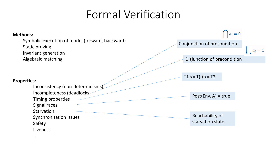## Formal Verification